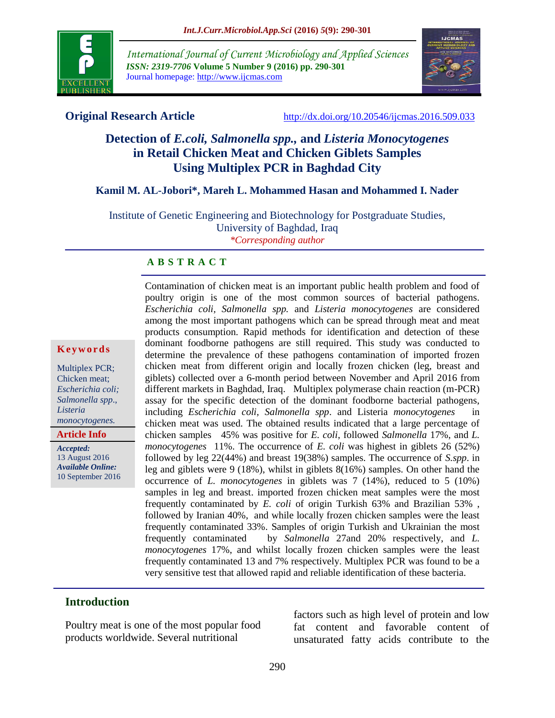

*International Journal of Current Microbiology and Applied Sciences ISSN: 2319-7706* **Volume 5 Number 9 (2016) pp. 290-301** Journal homepage: http://www.ijcmas.com



**Original Research Article** <http://dx.doi.org/10.20546/ijcmas.2016.509.033>

# **Detection of** *E.coli, Salmonella spp.,* **and** *Listeria Monocytogenes*  **in Retail Chicken Meat and Chicken Giblets Samples Using Multiplex PCR in Baghdad City**

#### **Kamil M. AL-Jobori\*, Mareh L. Mohammed Hasan and Mohammed I. Nader**

Institute of Genetic Engineering and Biotechnology for Postgraduate Studies, University of Baghdad, Iraq *\*Corresponding author*

#### **A B S T R A C T**

#### **K e y w o r d s**

Multiplex PCR; Chicken meat; *Escherichia coli; Salmonella spp*., *Listeria monocytogenes.* 

**Article Info**

*Accepted:*  13 August 2016 *Available Online:* 10 September 2016 poultry origin is one of the most common sources of bacterial pathogens. *Escherichia coli, Salmonella spp.* and *Listeria monocytogenes* are considered among the most important pathogens which can be spread through meat and meat products consumption. Rapid methods for identification and detection of these dominant foodborne pathogens are still required. This study was conducted to determine the prevalence of these pathogens contamination of imported frozen chicken meat from different origin and locally frozen chicken (leg, breast and giblets) collected over a 6-month period between November and April 2016 from different markets in Baghdad, Iraq. Multiplex polymerase chain reaction (m-PCR) assay for the specific detection of the dominant foodborne bacterial pathogens, including *Escherichia coli, Salmonella spp*. and Listeria *monocytogenes* in chicken meat was used. The obtained results indicated that a large percentage of chicken samples 45% was positive for *E. coli*, followed *Salmonella* 17%, and *L. monocytogenes* 11%. The occurrence of *E. coli* was highest in giblets 26 (52%) followed by leg 22(44%) and breast 19(38%) samples. The occurrence of *S.spp*. in leg and giblets were 9 (18%), whilst in giblets 8(16%) samples. On other hand the occurrence of *L. monocytogenes* in giblets was 7 (14%), reduced to 5 (10%) samples in leg and breast. imported frozen chicken meat samples were the most frequently contaminated by *E. coli* of origin Turkish 63% and Brazilian 53% , followed by Iranian 40%, and while locally frozen chicken samples were the least frequently contaminated 33%. Samples of origin Turkish and Ukrainian the most frequently contaminated by *Salmonella* 27and 20% respectively, and *L. monocytogenes* 17%, and whilst locally frozen chicken samples were the least frequently contaminated 13 and 7% respectively. Multiplex PCR was found to be a very sensitive test that allowed rapid and reliable identification of these bacteria.

Contamination of chicken meat is an important public health problem and food of

# **Introduction**

Poultry meat is one of the most popular food products worldwide. Several nutritional

factors such as high level of protein and low fat content and favorable content of unsaturated fatty acids contribute to the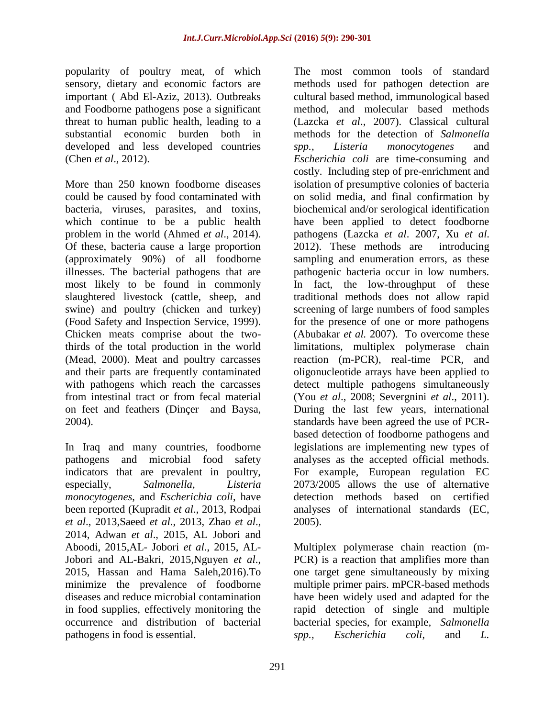popularity of poultry meat, of which sensory, dietary and economic factors are important ( Abd El-Aziz, 2013). Outbreaks and Foodborne pathogens pose a significant threat to human public health, leading to a substantial economic burden both in developed and less developed countries (Chen *et al*., 2012).

More than 250 known foodborne diseases could be caused by food contaminated with bacteria, viruses, parasites, and toxins, which continue to be a public health problem in the world (Ahmed *et al*., 2014). Of these, bacteria cause a large proportion (approximately 90%) of all foodborne illnesses. The bacterial pathogens that are most likely to be found in commonly slaughtered livestock (cattle, sheep, and swine) and poultry (chicken and turkey) (Food Safety and Inspection Service, 1999). Chicken meats comprise about the twothirds of the total production in the world (Mead, 2000). Meat and poultry carcasses and their parts are frequently contaminated with pathogens which reach the carcasses from intestinal tract or from fecal material on feet and feathers (Dinçer and Baysa, 2004).

In Iraq and many countries, foodborne pathogens and microbial food safety indicators that are prevalent in poultry, especially, *Salmonella, Listeria monocytogenes*, and *Escherichia coli*, have been reported (Kupradit *et al*., 2013, Rodpai *et al*., 2013,Saeed *et al*., 2013, Zhao *et al*., 2014, Adwan *et al*., 2015, AL Jobori and Aboodi, 2015,AL- Jobori *et al*., 2015, AL-Jobori and AL-Bakri, 2015,Nguyen *et al*., 2015, Hassan and Hama Saleh,2016).To minimize the prevalence of foodborne diseases and reduce microbial contamination in food supplies, effectively monitoring the occurrence and distribution of bacterial pathogens in food is essential.

The most common tools of standard methods used for pathogen detection are cultural based method, immunological based method, and molecular based methods (Lazcka *et al*., 2007). Classical cultural methods for the detection of *Salmonella spp., Listeria monocytogenes* and *Escherichia coli* are time-consuming and costly. Including step of pre-enrichment and isolation of presumptive colonies of bacteria on solid media, and final confirmation by biochemical and/or serological identification have been applied to detect foodborne pathogens (Lazcka *et al*. 2007, Xu *et al*. 2012). These methods are introducing sampling and enumeration errors, as these pathogenic bacteria occur in low numbers. In fact, the low-throughput of these traditional methods does not allow rapid screening of large numbers of food samples for the presence of one or more pathogens (Abubakar *et al.* 2007). To overcome these limitations, multiplex polymerase chain reaction (m-PCR), real-time PCR, and oligonucleotide arrays have been applied to detect multiple pathogens simultaneously (You *et al*., 2008; Severgnini *et al*., 2011). During the last few years, international standards have been agreed the use of PCRbased detection of foodborne pathogens and legislations are implementing new types of analyses as the accepted official methods. For example, European regulation EC 2073/2005 allows the use of alternative detection methods based on certified analyses of international standards (EC, 2005).

Multiplex polymerase chain reaction (m-PCR) is a reaction that amplifies more than one target gene simultaneously by mixing multiple primer pairs. mPCR-based methods have been widely used and adapted for the rapid detection of single and multiple bacterial species, for example*, Salmonella spp., Escherichia coli*, and *L.*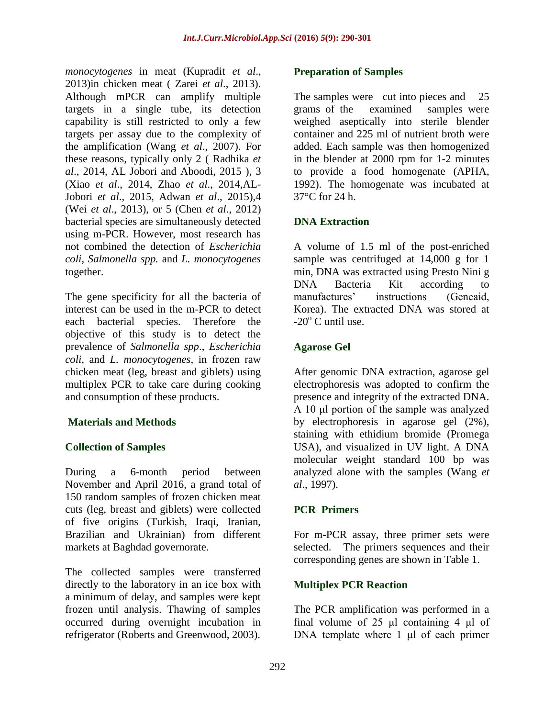*monocytogenes* in meat (Kupradit *et al*., 2013)in chicken meat ( Zarei *et al*., 2013). Although mPCR can amplify multiple targets in a single tube, its detection capability is still restricted to only a few targets per assay due to the complexity of the amplification (Wang *et al*., 2007). For these reasons, typically only 2 ( Radhika *et al*., 2014, AL Jobori and Aboodi, 2015 ), 3 (Xiao *et al*., 2014, Zhao *et al*., 2014,AL-Jobori *et al*., 2015, Adwan *et al*., 2015),4 (Wei *et al*., 2013), or 5 (Chen *et al*., 2012) bacterial species are simultaneously detected using m-PCR. However, most research has not combined the detection of *Escherichia coli*, *Salmonella spp.* and *L. monocytogenes* together.

The gene specificity for all the bacteria of interest can be used in the m-PCR to detect each bacterial species. Therefore the objective of this study is to detect the prevalence of *Salmonella spp*., *Escherichia coli,* and *L. monocytogenes*, in frozen raw chicken meat (leg, breast and giblets) using multiplex PCR to take care during cooking and consumption of these products.

# **Materials and Methods**

# **Collection of Samples**

During a 6-month period between November and April 2016, a grand total of 150 random samples of frozen chicken meat cuts (leg, breast and giblets) were collected of five origins (Turkish, Iraqi, Iranian, Brazilian and Ukrainian) from different markets at Baghdad governorate.

The collected samples were transferred directly to the laboratory in an ice box with a minimum of delay, and samples were kept frozen until analysis. Thawing of samples occurred during overnight incubation in refrigerator (Roberts and Greenwood, 2003).

#### **Preparation of Samples**

The samples were cut into pieces and 25 grams of the examined samples were weighed aseptically into sterile blender container and 225 ml of nutrient broth were added. Each sample was then homogenized in the blender at 2000 rpm for 1-2 minutes to provide a food homogenate (APHA, 1992). The homogenate was incubated at 37°C for 24 h.

# **DNA Extraction**

A volume of 1.5 ml of the post-enriched sample was centrifuged at 14,000 g for 1 min, DNA was extracted using Presto Nini g DNA Bacteria Kit according to manufactures' instructions (Geneaid, Korea). The extracted DNA was stored at  $-20^\circ$  C until use.

# **Agarose Gel**

After genomic DNA extraction, agarose gel electrophoresis was adopted to confirm the presence and integrity of the extracted DNA. A 10 μl portion of the sample was analyzed by electrophoresis in agarose gel (2%), staining with ethidium bromide (Promega USA), and visualized in UV light. A DNA molecular weight standard 100 bp was analyzed alone with the samples (Wang *et al*., 1997).

# **PCR Primers**

For m-PCR assay, three primer sets were selected. The primers sequences and their corresponding genes are shown in Table 1.

# **Multiplex PCR Reaction**

The PCR amplification was performed in a final volume of 25 μl containing 4 μl of DNA template where 1 μl of each primer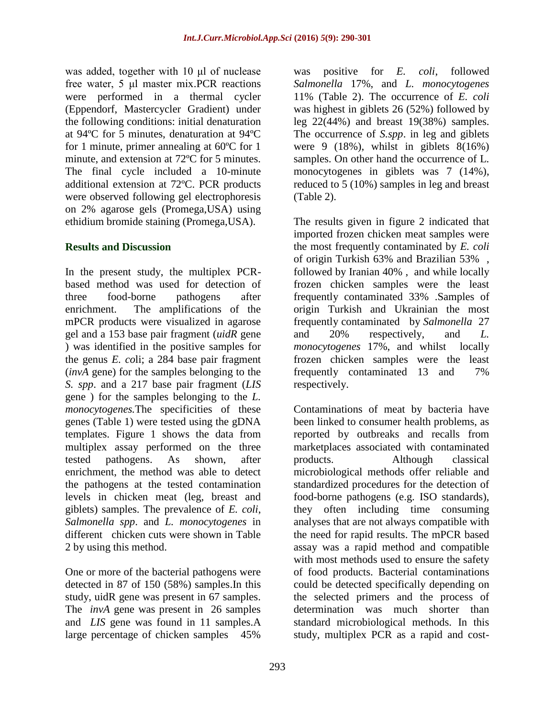was added, together with 10 μl of nuclease free water, 5 μl master mix.PCR reactions were performed in a thermal cycler (Eppendorf, Mastercycler Gradient) under the following conditions: initial denaturation at 94ºC for 5 minutes, denaturation at 94ºC for 1 minute, primer annealing at 60ºC for 1 minute, and extension at 72ºC for 5 minutes. The final cycle included a 10-minute additional extension at 72ºC. PCR products were observed following gel electrophoresis on 2% agarose gels (Promega,USA) using ethidium bromide staining (Promega,USA).

# **Results and Discussion**

In the present study, the multiplex PCRbased method was used for detection of three food-borne pathogens after enrichment. The amplifications of the mPCR products were visualized in agarose gel and a 153 base pair fragment (*uidR* gene ) was identified in the positive samples for the genus *E. co*li; a 284 base pair fragment (*invA* gene) for the samples belonging to the *S. spp*. and a 217 base pair fragment (*LIS* gene ) for the samples belonging to the *L. monocytogenes.*The specificities of these genes (Table 1) were tested using the gDNA templates. Figure 1 shows the data from multiplex assay performed on the three tested pathogens. As shown, after enrichment, the method was able to detect the pathogens at the tested contamination levels in chicken meat (leg, breast and giblets) samples. The prevalence of *E. coli*, *Salmonella spp*. and *L. monocytogenes* in different chicken cuts were shown in Table 2 by using this method.

One or more of the bacterial pathogens were detected in 87 of 150 (58%) samples.In this study, uidR gene was present in 67 samples. The *invA* gene was present in 26 samples and *LIS* gene was found in 11 samples.A large percentage of chicken samples 45%

was positive for *E. coli*, followed *Salmonella* 17%, and *L. monocytogenes*  11% (Table 2). The occurrence of *E. coli* was highest in giblets 26 (52%) followed by leg 22(44%) and breast 19(38%) samples. The occurrence of *S.spp*. in leg and giblets were 9  $(18\%)$ , whilst in giblets  $8(16\%)$ samples. On other hand the occurrence of L. monocytogenes in giblets was 7 (14%), reduced to 5 (10%) samples in leg and breast (Table 2).

The results given in figure 2 indicated that imported frozen chicken meat samples were the most frequently contaminated by *E. coli*  of origin Turkish 63% and Brazilian 53% , followed by Iranian 40% , and while locally frozen chicken samples were the least frequently contaminated 33% .Samples of origin Turkish and Ukrainian the most frequently contaminated by *Salmonella* 27 and 20% respectively, and *L. monocytogenes* 17%, and whilst locally frozen chicken samples were the least frequently contaminated 13 and 7% respectively.

Contaminations of meat by bacteria have been linked to consumer health problems, as reported by outbreaks and recalls from marketplaces associated with contaminated products. Although classical microbiological methods offer reliable and standardized procedures for the detection of food-borne pathogens (e.g. ISO standards), they often including time consuming analyses that are not always compatible with the need for rapid results. The mPCR based assay was a rapid method and compatible with most methods used to ensure the safety of food products. Bacterial contaminations could be detected specifically depending on the selected primers and the process of determination was much shorter than standard microbiological methods. In this study, multiplex PCR as a rapid and cost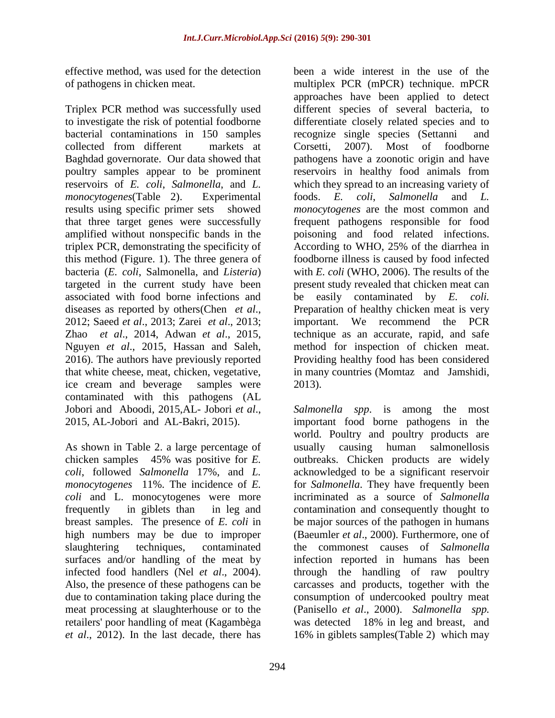effective method, was used for the detection of pathogens in chicken meat.

Triplex PCR method was successfully used to investigate the risk of potential foodborne bacterial contaminations in 150 samples collected from different markets at Baghdad governorate. Our data showed that poultry samples appear to be prominent reservoirs of *E. coli*, *Salmonella*, and *L. monocytogenes*(Table 2). Experimental results using specific primer sets showed that three target genes were successfully amplified without nonspecific bands in the triplex PCR, demonstrating the specificity of this method (Figure. 1). The three genera of bacteria (*E. coli*, Salmonella, and *Listeria*) targeted in the current study have been associated with food borne infections and diseases as reported by others(Chen *et al*., 2012; Saeed *et al*., 2013; Zarei *et al*., 2013; Zhao *et al*., 2014, Adwan *et al*., 2015, Nguyen *et al*., 2015, Hassan and Saleh, 2016). The authors have previously reported that white cheese, meat, chicken, vegetative, ice cream and beverage samples were contaminated with this pathogens (AL Jobori and Aboodi, 2015,AL- Jobori *et al*., 2015, AL-Jobori and AL-Bakri, 2015).

As shown in Table 2. a large percentage of chicken samples 45% was positive for *E. coli*, followed *Salmonella* 17%, and *L. monocytogenes* 11%. The incidence of *E. coli* and L. monocytogenes were more frequently in giblets than in leg and breast samples. The presence of *E. coli* in high numbers may be due to improper slaughtering techniques, contaminated surfaces and/or handling of the meat by infected food handlers (Nel *et al*., 2004). Also, the presence of these pathogens can be due to contamination taking place during the meat processing at slaughterhouse or to the retailers' poor handling of meat (Kagambèga *et al*., 2012). In the last decade, there has

been a wide interest in the use of the multiplex PCR (mPCR) technique. mPCR approaches have been applied to detect different species of several bacteria, to differentiate closely related species and to recognize single species (Settanni and Corsetti, 2007). Most of foodborne pathogens have a zoonotic origin and have reservoirs in healthy food animals from which they spread to an increasing variety of foods. *E. coli*, *Salmonella* and *L. monocytogenes* are the most common and frequent pathogens responsible for food poisoning and food related infections. According to WHO, 25% of the diarrhea in foodborne illness is caused by food infected with *E. coli* (WHO, 2006). The results of the present study revealed that chicken meat can be easily contaminated by *E. coli.* Preparation of healthy chicken meat is very important. We recommend the PCR technique as an accurate, rapid, and safe method for inspection of chicken meat. Providing healthy food has been considered in many countries (Momtaz and Jamshidi, 2013).

*Salmonella spp*. is among the most important food borne pathogens in the world. Poultry and poultry products are usually causing human salmonellosis outbreaks. Chicken products are widely acknowledged to be a significant reservoir for *Salmonella*. They have frequently been incriminated as a source of *Salmonella c*ontamination and consequently thought to be major sources of the pathogen in humans (Baeumler *et al*., 2000). Furthermore, one of the commonest causes of *Salmonella* infection reported in humans has been through the handling of raw poultry carcasses and products, together with the consumption of undercooked poultry meat (Panisello *et al*., 2000). *Salmonella spp.* was detected 18% in leg and breast, and 16% in giblets samples(Table 2) which may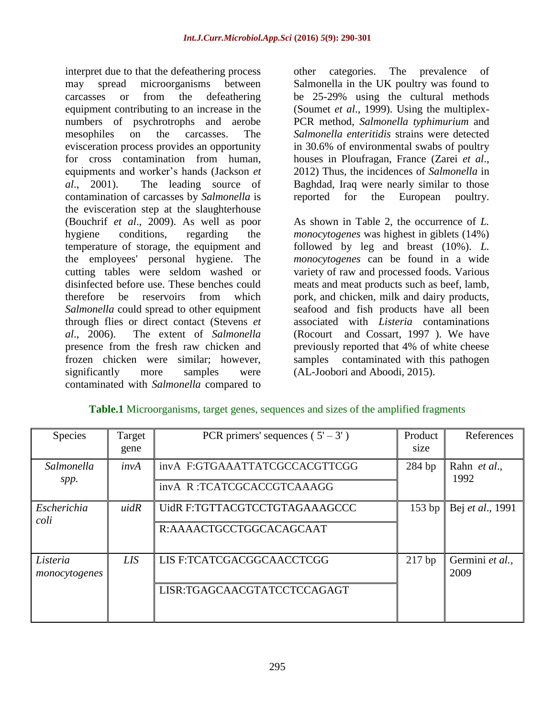interpret due to that the defeathering process may spread microorganisms between carcasses or from the defeathering equipment contributing to an increase in the numbers of psychrotrophs and aerobe mesophiles on the carcasses. The evisceration process provides an opportunity for cross contamination from human, equipments and worker's hands (Jackson *et al*., 2001). The leading source of contamination of carcasses by *Salmonella* is the evisceration step at the slaughterhouse (Bouchrif *et al*., 2009). As well as poor hygiene conditions, regarding the temperature of storage, the equipment and the employees' personal hygiene. The cutting tables were seldom washed or disinfected before use. These benches could therefore be reservoirs from which *Salmonella* could spread to other equipment through flies or direct contact (Stevens *et al*., 2006). The extent of *Salmonella* presence from the fresh raw chicken and frozen chicken were similar; however, significantly more samples were contaminated with *Salmonella* compared to

other categories. The prevalence of Salmonella in the UK poultry was found to be 25-29% using the cultural methods (Soumet *et al*., 1999). Using the multiplex-PCR method, *Salmonella typhimurium* and *Salmonella enteritidis* strains were detected in 30.6% of environmental swabs of poultry houses in Ploufragan, France (Zarei *et al*., 2012) Thus, the incidences of *Salmonella* in Baghdad, Iraq were nearly similar to those reported for the European poultry.

As shown in Table 2, the occurrence of *L. monocytogenes* was highest in giblets (14%) followed by leg and breast (10%). *L. monocytogenes* can be found in a wide variety of raw and processed foods. Various meats and meat products such as beef, lamb, pork, and chicken, milk and dairy products, seafood and fish products have all been associated with *Listeria* contaminations (Rocourt and Cossart, 1997 ). We have previously reported that 4% of white cheese samples contaminated with this pathogen (AL-Joobori and Aboodi, 2015).

| <b>Species</b>            | Target<br>gene | PCR primers' sequences $(5' - 3')$ | Product<br>size | References              |
|---------------------------|----------------|------------------------------------|-----------------|-------------------------|
| Salmonella<br>spp.        | invA           | invA F:GTGAAATTATCGCCACGTTCGG      | 284 bp          | Rahn et al.,<br>1992    |
|                           |                | invA R:TCATCGCACCGTCAAAGG          |                 |                         |
| Escherichia<br>coli       | uidR           | UidR F:TGTTACGTCCTGTAGAAAGCCC      | 153bp           | Bej et al., 1991        |
|                           |                | R:AAAACTGCCTGGCACAGCAAT            |                 |                         |
| Listeria<br>monocytogenes | <b>LIS</b>     | LIS F:TCATCGACGGCAACCTCGG          | $217$ bp        | Germini et al.,<br>2009 |
|                           |                | LISR:TGAGCAACGTATCCTCCAGAGT        |                 |                         |

# **Table.1** Microorganisms, target genes, sequences and sizes of the amplified fragments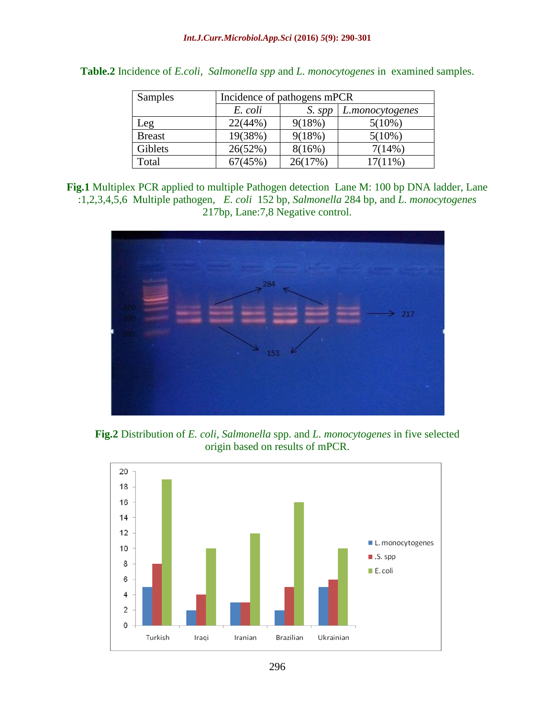| <b>Samples</b> | Incidence of pathogens mPCR |         |                 |  |
|----------------|-----------------------------|---------|-----------------|--|
|                | E. coli                     | S. spp  | L.monocytogenes |  |
| Leg            | 22(44%)                     | 9(18%)  | $5(10\%)$       |  |
| <b>Breast</b>  | 19(38%)                     | 9(18%)  | $5(10\%)$       |  |
| Giblets        | 26(52%)                     | 8(16%)  | 7(14%)          |  |
| Total          | 67(45%)                     | 26(17%) | $17(11\%)$      |  |

| Table.2 Incidence of <i>E.coli, Salmonella spp</i> and <i>L. monocytogenes</i> in examined samples. |  |  |
|-----------------------------------------------------------------------------------------------------|--|--|
|                                                                                                     |  |  |

**Fig.1** Multiplex PCR applied to multiple Pathogen detection Lane M: 100 bp DNA ladder, Lane :1,2,3,4,5,6 Multiple pathogen, *E. coli* 152 bp, *Salmonella* 284 bp, and *L. monocytogenes* 217bp, Lane:7,8 Negative control.



**Fig.2** Distribution of *E. coli*, *Salmonella* spp. and *L. monocytogenes* in five selected origin based on results of mPCR.

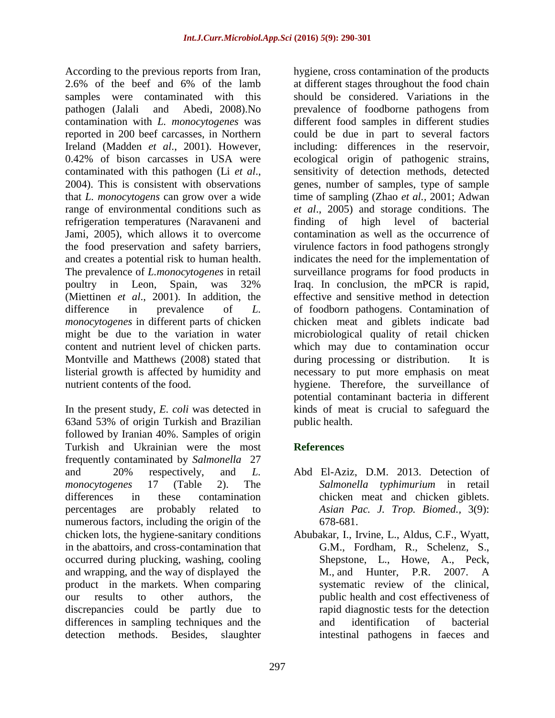According to the previous reports from Iran, 2.6% of the beef and 6% of the lamb samples were contaminated with this pathogen (Jalali and Abedi, 2008).No contamination with *L. monocytogenes* was reported in 200 beef carcasses, in Northern Ireland (Madden *et al*., 2001). However, 0.42% of bison carcasses in USA were contaminated with this pathogen (Li *et al*., 2004). This is consistent with observations that *L. monocytogens* can grow over a wide range of environmental conditions such as refrigeration temperatures (Naravaneni and Jami, 2005), which allows it to overcome the food preservation and safety barriers, and creates a potential risk to human health. The prevalence of *L.monocytogenes* in retail poultry in Leon, Spain, was 32% (Miettinen *et al*., 2001). In addition, the difference in prevalence of *L. monocytogenes* in different parts of chicken might be due to the variation in water content and nutrient level of chicken parts. Montville and Matthews (2008) stated that listerial growth is affected by humidity and nutrient contents of the food.

In the present study*, E. coli* was detected in 63and 53% of origin Turkish and Brazilian followed by Iranian 40%. Samples of origin Turkish and Ukrainian were the most frequently contaminated by *Salmonella* 27 and 20% respectively, and *L. monocytogenes* 17 (Table 2). The differences in these contamination percentages are probably related to numerous factors, including the origin of the chicken lots, the hygiene-sanitary conditions in the abattoirs, and cross-contamination that occurred during plucking, washing, cooling and wrapping, and the way of displayed the product in the markets. When comparing our results to other authors, the discrepancies could be partly due to differences in sampling techniques and the detection methods. Besides, slaughter

hygiene, cross contamination of the products at different stages throughout the food chain should be considered. Variations in the prevalence of foodborne pathogens from different food samples in different studies could be due in part to several factors including: differences in the reservoir, ecological origin of pathogenic strains, sensitivity of detection methods, detected genes, number of samples, type of sample time of sampling (Zhao *et al.,* 2001; Adwan *et al*., 2005) and storage conditions. The finding of high level of bacterial contamination as well as the occurrence of virulence factors in food pathogens strongly indicates the need for the implementation of surveillance programs for food products in Iraq. In conclusion, the mPCR is rapid, effective and sensitive method in detection of foodborn pathogens. Contamination of chicken meat and giblets indicate bad microbiological quality of retail chicken which may due to contamination occur during processing or distribution. It is necessary to put more emphasis on meat hygiene. Therefore, the surveillance of potential contaminant bacteria in different kinds of meat is crucial to safeguard the public health.

# **References**

- Abd El-Aziz, D.M. 2013. Detection of *Salmonella typhimurium* in retail chicken meat and chicken giblets. *Asian Pac. J. Trop. Biomed.,* 3(9): 678-681.
- Abubakar, I., Irvine, L., Aldus, C.F., Wyatt, G.M., Fordham, R., Schelenz, S., Shepstone, L., Howe, A., [Peck,](http://www.ncbi.nlm.nih.gov/pubmed/?term=Peck%20M%5BAuthor%5D&cauthor=true&cauthor_uid=17803865)  [M.](http://www.ncbi.nlm.nih.gov/pubmed/?term=Peck%20M%5BAuthor%5D&cauthor=true&cauthor_uid=17803865), and [Hunter, P.R.](http://www.ncbi.nlm.nih.gov/pubmed/?term=Hunter%20PR%5BAuthor%5D&cauthor=true&cauthor_uid=17803865) 2007. A systematic review of the clinical, public health and cost effectiveness of rapid diagnostic tests for the detection and identification of bacterial intestinal pathogens in faeces and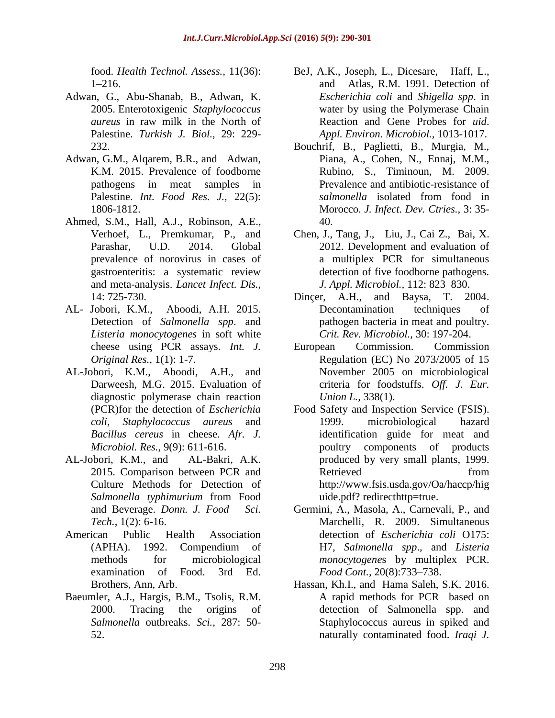food. *Health Technol. Assess.,* 11(36):  $1-216$ .

- Adwan, G., Abu-Shanab, B., Adwan, K. 2005. Enterotoxigenic *Staphylococcus aureus* in raw milk in the North of Palestine. *Turkish J. Biol.,* 29: 229- 232.
- Adwan, G.M., Alqarem, B.R., and Adwan, K.M. 2015. Prevalence of foodborne pathogens in meat samples in Palestine. *Int. Food Res. J.,* 22(5): 1806-1812.
- Ahmed, S.M., Hall, A.J., Robinson, A.E., Verhoef, L., Premkumar, P., and Parashar, U.D. 2014. Global prevalence of norovirus in cases of gastroenteritis: a systematic review and meta-analysis. *Lancet Infect. Dis.,*  14: 725-730.
- AL- Jobori, K.M., Aboodi, A.H. 2015. Detection of *Salmonella spp*. and *Listeria monocytogenes* in soft white cheese using PCR assays. *Int. J. Original Res.,* 1(1): 1-7.
- AL-Jobori, K.M., Aboodi, A.H., and Darweesh, M.G. 2015. Evaluation of diagnostic polymerase chain reaction (PCR)for the detection of *Escherichia coli, Staphylococcus aureus* and *Bacillus cereus* in cheese. *Afr. J. Microbiol. Res.,* 9(9): 611-616.
- AL-Jobori, K.M., and AL-Bakri, A.K. 2015. Comparison between PCR and Culture Methods for Detection of *Salmonella typhimurium* from Food and Beverage. *Donn. J. Food Sci. Tech.,* 1(2): 6-16.
- American Public Health Association (APHA). 1992. Compendium of methods for microbiological examination of Food. 3rd Ed. Brothers, Ann, Arb.
- Baeumler, A.J., Hargis, B.M., Tsolis, R.M. 2000. Tracing the origins of *Salmonella* outbreaks. *Sci.,* 287: 50- 52.
- BeJ, A.K., Joseph, L., Dicesare, Haff, L., and Atlas, R.M. 1991. Detection of *Escherichia coli* and *Shigella spp*. in water by using the Polymerase Chain Reaction and Gene Probes for *uid*. *Appl. Environ. Microbiol.,* 1013-1017.
- Bouchrif, B., Paglietti, B., Murgia, M., Piana, A., Cohen, N., Ennaj, M.M., Rubino, S., Timinoun, M. 2009. Prevalence and antibiotic-resistance of *salmonella* isolated from food in Morocco. *J. Infect. Dev. Ctries.,* 3: 35- 40.
- Chen, J., Tang, J., Liu, J., Cai Z., Bai, X. 2012. Development and evaluation of a multiplex PCR for simultaneous detection of five foodborne pathogens. *J. Appl. Microbiol.,* 112: 823–830.
- Dinçer, A.H., and Baysa, T. 2004. Decontamination techniques of pathogen bacteria in meat and poultry. *Crit. Rev. Microbiol.,* 30: 197-204.
- European Commission. Commission Regulation (EC) No 2073/2005 of 15 November 2005 on microbiological criteria for foodstuffs. *Off. J. Eur. Union L.,* 338(1).
- Food Safety and Inspection Service (FSIS). 1999. microbiological hazard identification guide for meat and poultry components of products produced by very small plants, 1999. Retrieved from http://www.fsis.usda.gov/Oa/haccp/hig uide.pdf? redirecthttp=true.
- Germini, A., Masola, A., Carnevali, P., and Marchelli, R. 2009. Simultaneous detection of *Escherichia coli* O175: H7, *Salmonella spp*., and *Listeria monocytogene*s by multiplex PCR. *Food Cont.,* 20(8):733–738.
- Hassan, Kh.I., and Hama Saleh, S.K. 2016. A rapid methods for PCR based on detection of Salmonella spp. and Staphylococcus aureus in spiked and naturally contaminated food. *Iraqi J.*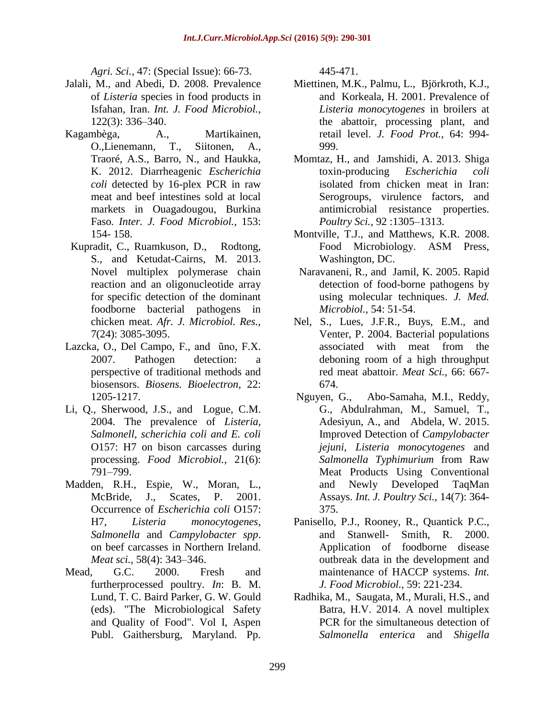*Agri. Sci.,* 47: (Special Issue): 66-73.

- Jalali, M., and Abedi, D. 2008. Prevalence of *Listeria* species in food products in Isfahan, Iran. *Int. J. Food Microbiol.,*  122(3): 336–340.
- Kagambèga, A., Martikainen, O.,Lienemann, T., Siitonen, A., Traoré, A.S., Barro, N., and Haukka, K. 2012. Diarrheagenic *Escherichia coli* detected by 16-plex PCR in raw meat and beef intestines sold at local markets in Ouagadougou, Burkina Faso*. Inter. J. Food Microbiol.,* 153: 154- 158.
- Kupradit, C., Ruamkuson, D., Rodtong, S., and Ketudat-Cairns, M. 2013. Novel multiplex polymerase chain reaction and an oligonucleotide array for specific detection of the dominant foodborne bacterial pathogens in chicken meat. *Afr. J. Microbiol. Res.,* 7(24): 3085-3095.
- Lazcka, O., Del Campo, F., and ũno, F.X. 2007. Pathogen detection: a perspective of traditional methods and biosensors. *Biosens. Bioelectron,* 22: 1205-1217.
- Li, Q., Sherwood, J.S., and Logue, C.M. 2004. The prevalence of *Listeria, Salmonell, scherichia coli and E. coli* O157: H7 on bison carcasses during processing. *Food Microbiol.,* 21(6): 791–799.
- Madden, R.H., Espie, W., Moran, L., McBride, J., Scates, P. 2001. Occurrence of *Escherichia coli* O157: H7, *Listeria monocytogenes, Salmonella* and *Campylobacter spp*. on beef carcasses in Northern Ireland. *Meat sci.,* 58(4): 343–346.
- Mead, G.C. 2000. Fresh and furtherprocessed poultry. *In*: B. M. Lund, T. C. Baird Parker, G. W. Gould (eds). "The Microbiological Safety and Quality of Food". Vol I, Aspen Publ. Gaithersburg, Maryland. Pp.

445-471.

- Miettinen, M.K., Palmu, L., Björkroth, K.J., and Korkeala, H. 2001. Prevalence of *Listeria monocytogenes* in broilers at the abattoir, processing plant, and retail level. *J. Food Prot.,* 64: 994- 999.
- Momtaz, H., and Jamshidi, A. 2013. Shiga toxin-producing *Escherichia coli* isolated from chicken meat in Iran: Serogroups, virulence factors, and antimicrobial resistance properties. *Poultry Sci.,* 92 :1305–1313.
- Montville, T.J., and Matthews, K.R. 2008. Food Microbiology. ASM Press, Washington, DC.
- Naravaneni, R., and Jamil, K. 2005. Rapid detection of food-borne pathogens by using molecular techniques. *J. Med. Microbiol.,* 54: 51-54.
- Nel, S., Lues, J.F.R., Buys, E.M., and Venter, P. 2004. Bacterial populations associated with meat from the deboning room of a high throughput red meat abattoir. *Meat Sci.,* 66: 667- 674.
- Nguyen, G., Abo-Samaha, M.I., Reddy, G., Abdulrahman, M., Samuel, T., Adesiyun, A., and Abdela, W. 2015. Improved Detection of *Campylobacter jejuni, Listeria monocytogenes* and *Salmonella Typhimurium* from Raw Meat Products Using Conventional and Newly Developed TaqMan Assays. *Int. J. Poultry Sci.,* 14(7): 364- 375.
- Panisello, P.J., Rooney, R., Quantick P.C., and Stanwell- Smith, R. 2000. Application of foodborne disease outbreak data in the development and maintenance of HACCP systems. *Int. J. Food Microbiol.,* 59: 221-234.
- Radhika, M., Saugata, M., Murali, H.S., and Batra, H.V. 2014. A novel multiplex PCR for the simultaneous detection of *Salmonella enterica* and *Shigella*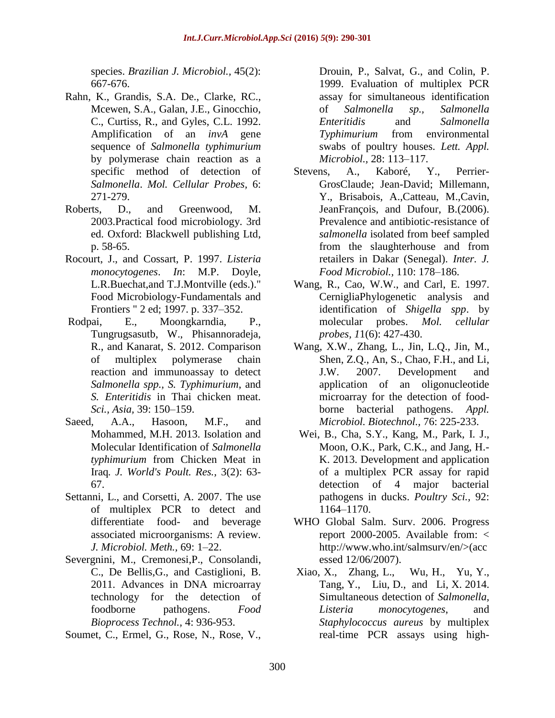species. *Brazilian J. Microbiol.,* 45(2): 667-676.

- Rahn, K., Grandis, S.A. De., Clarke, RC., Mcewen, S.A., Galan, J.E., Ginocchio, C., Curtiss, R., and Gyles, C.L. 1992. Amplification of an *invA* gene sequence of *Salmonella typhimurium*  by polymerase chain reaction as a specific method of detection of *Salmonella*. *Mol. Cellular Probes,* 6: 271-279.
- Roberts, D., and Greenwood, M. 2003.Practical food microbiology. 3rd ed. Oxford: Blackwell publishing Ltd, p. 58-65.
- Rocourt, J., and Cossart, P. 1997. *Listeria monocytogenes*. *In*: M.P. Doyle, L.R.Buechat,and T.J.Montville (eds.)." Food Microbiology-Fundamentals and Frontiers " 2 ed; 1997. p. 337–352.
- Rodpai, E., Moongkarndia, P., Tungrugsasutb, W., Phisannoradeja, R., and Kanarat, S. 2012. Comparison of multiplex polymerase chain reaction and immunoassay to detect *Salmonella spp., S. Typhimurium*, and *S. Enteritidis* in Thai chicken meat. *Sci., Asia,* 39: 150–159.
- Saeed, A.A., Hasoon, M.F., and Mohammed, M.H. 2013. Isolation and Molecular Identification of *Salmonella typhimurium* from Chicken Meat in Iraq*. J. World's Poult. Res.,* 3(2): 63- 67.
- Settanni, L., and Corsetti, A. 2007. The use of multiplex PCR to detect and differentiate food- and beverage associated microorganisms: A review. *J. Microbiol. Meth.,* 69: 1–22.
- Severgnini, M., Cremonesi,P., Consolandi, C., De Bellis,G., and Castiglioni, B. 2011. Advances in DNA microarray technology for the detection of foodborne pathogens. *Food Bioprocess Technol.,* 4: 936-953.
- Soumet, C., Ermel, G., Rose, N., Rose, V.,

Drouin, P., Salvat, G., and Colin, P. 1999. Evaluation of multiplex PCR assay for simultaneous identification of *Salmonella sp., Salmonella Enteritidis* and *Salmonella Typhimurium* from environmental swabs of poultry houses. *Lett. Appl. Microbiol.,* 28: 113–117.

- Stevens, A., Kaboré, Y., Perrier-GrosClaude; Jean-David; Millemann, Y., Brisabois, A.,Catteau, M.,Cavin, JeanFrançois, and Dufour, B.(2006). Prevalence and antibiotic-resistance of *salmonella* isolated from beef sampled from the slaughterhouse and from retailers in Dakar (Senegal). *Inter. J. Food Microbiol.,* 110: 178–186.
- Wang, R., Cao, W.W., and Carl, E. 1997. CernigliaPhylogenetic analysis and identification of *Shigella spp*. by molecular probes. *Mol. cellular probes, 1*1(6): 427-430.
- Wang, X.W., Zhang, L., Jin, L.Q., Jin, M., Shen, Z.Q., An, S., Chao, F.H., and Li, J.W. 2007. Development and application of an oligonucleotide microarray for the detection of foodborne bacterial pathogens. *Appl. Microbiol. Biotechnol.,* 76: 225-233.
- Wei, B., Cha, S.Y., Kang, M., Park, I. J., Moon, O.K., Park, C.K., and Jang, H.- K. 2013. Development and application of a multiplex PCR assay for rapid detection of 4 major bacterial pathogens in ducks. *Poultry Sci.,* 92: 1164–1170.
- WHO Global Salm. Surv. 2006. Progress report 2000-2005. Available from: < http://www.who.int/salmsurv/en/>(acc essed 12/06/2007).
- Xiao, X., Zhang, L., Wu, H., Yu, Y., Tang, Y., Liu, D., and Li, X. 2014. Simultaneous detection of *Salmonella, Listeria monocytogenes*, and *Staphylococcus aureus* by multiplex real-time PCR assays using high-